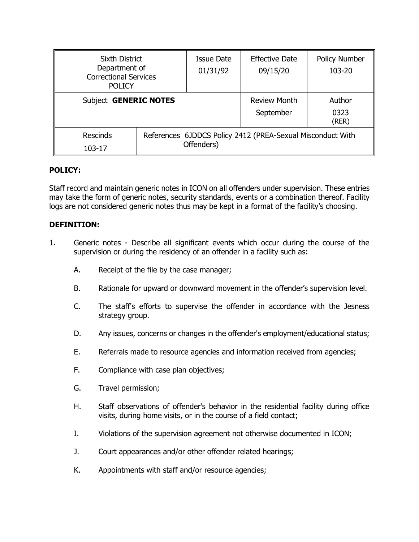| <b>Sixth District</b><br>Department of<br><b>Correctional Services</b><br><b>POLICY</b> |  | <b>Issue Date</b><br>01/31/92                                            | <b>Effective Date</b><br>09/15/20 | <b>Policy Number</b><br>103-20 |
|-----------------------------------------------------------------------------------------|--|--------------------------------------------------------------------------|-----------------------------------|--------------------------------|
| Subject <b>GENERIC NOTES</b>                                                            |  |                                                                          | <b>Review Month</b><br>September  | Author<br>0323<br>(REF)        |
| Rescinds<br>103-17                                                                      |  | References 6JDDCS Policy 2412 (PREA-Sexual Misconduct With<br>Offenders) |                                   |                                |

# **POLICY:**

Staff record and maintain generic notes in ICON on all offenders under supervision. These entries may take the form of generic notes, security standards, events or a combination thereof. Facility logs are not considered generic notes thus may be kept in a format of the facility's choosing.

### **DEFINITION:**

- 1. Generic notes Describe all significant events which occur during the course of the supervision or during the residency of an offender in a facility such as:
	- A. Receipt of the file by the case manager;
	- B. Rationale for upward or downward movement in the offender's supervision level.
	- C. The staff's efforts to supervise the offender in accordance with the Jesness strategy group.
	- D. Any issues, concerns or changes in the offender's employment/educational status;
	- E. Referrals made to resource agencies and information received from agencies;
	- F. Compliance with case plan objectives;
	- G. Travel permission;
	- H. Staff observations of offender's behavior in the residential facility during office visits, during home visits, or in the course of a field contact;
	- I. Violations of the supervision agreement not otherwise documented in ICON;
	- J. Court appearances and/or other offender related hearings;
	- K. Appointments with staff and/or resource agencies;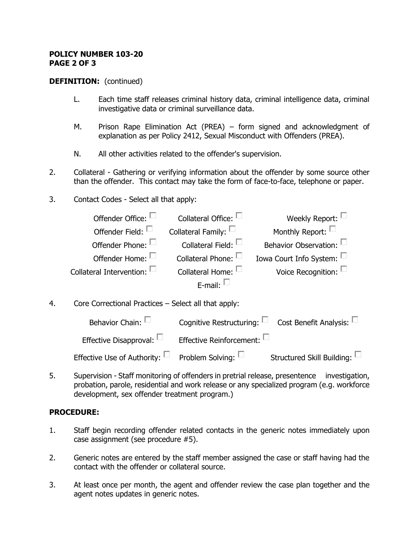#### **POLICY NUMBER 103-20 PAGE 2 OF 3**

#### **DEFINITION:** (continued)

- L. Each time staff releases criminal history data, criminal intelligence data, criminal investigative data or criminal surveillance data.
- M. Prison Rape Elimination Act (PREA) form signed and acknowledgment of explanation as per Policy 2412, Sexual Misconduct with Offenders (PREA).
- N. All other activities related to the offender's supervision.
- 2. Collateral Gathering or verifying information about the offender by some source other than the offender. This contact may take the form of face-to-face, telephone or paper.
- 3. Contact Codes Select all that apply:

| Offender Office: $\Box$            | Collateral Office: -         | Weekly Report: $\square$        |
|------------------------------------|------------------------------|---------------------------------|
| Offender Field: $\square$          | Collateral Family: $\square$ | Monthly Report: L               |
| Offender Phone:                    | Collateral Field: $\square$  | Behavior Observation: $\square$ |
| Offender Home:                     | Collateral Phone: $\Box$     | Iowa Court Info System: $\Box$  |
| Collateral Intervention: $\square$ | Collateral Home: $\square$   | Voice Recognition: $\square$    |
|                                    | E-mail: $\Box$               |                                 |
|                                    |                              |                                 |

4. Core Correctional Practices – Select all that apply:

| Behavior Chain: $\square$                                        | Cognitive Restructuring: $\square$ Cost Benefit Analysis: $\square$ |                                      |
|------------------------------------------------------------------|---------------------------------------------------------------------|--------------------------------------|
| Effective Disapproval: $\square$                                 | Effective Reinforcement: $\square$                                  |                                      |
| Effective Use of Authority: $\square$ Problem Solving: $\square$ |                                                                     | Structured Skill Building: $\square$ |

5. Supervision - Staff monitoring of offenders in pretrial release, presentence investigation, probation, parole, residential and work release or any specialized program (e.g. workforce development, sex offender treatment program.)

### **PROCEDURE:**

- 1. Staff begin recording offender related contacts in the generic notes immediately upon case assignment (see procedure #5).
- 2. Generic notes are entered by the staff member assigned the case or staff having had the contact with the offender or collateral source.
- 3. At least once per month, the agent and offender review the case plan together and the agent notes updates in generic notes.